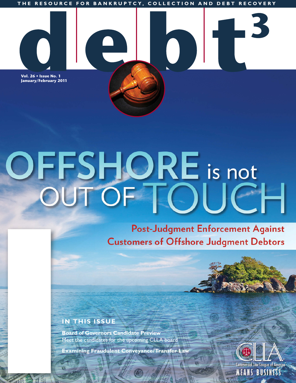

# OFFSHORE is not<br>OUT OF TOUC

**Post-Judgment Enforcement Against Customers of Offshore Judgment Debtors** 

# **IN THIS ISSUE**

**Board of Governors Candidate Preview** Meet the candidates for the upcoming CLLA board

**Examining Fraudulent Conveyance/Transfer Law**